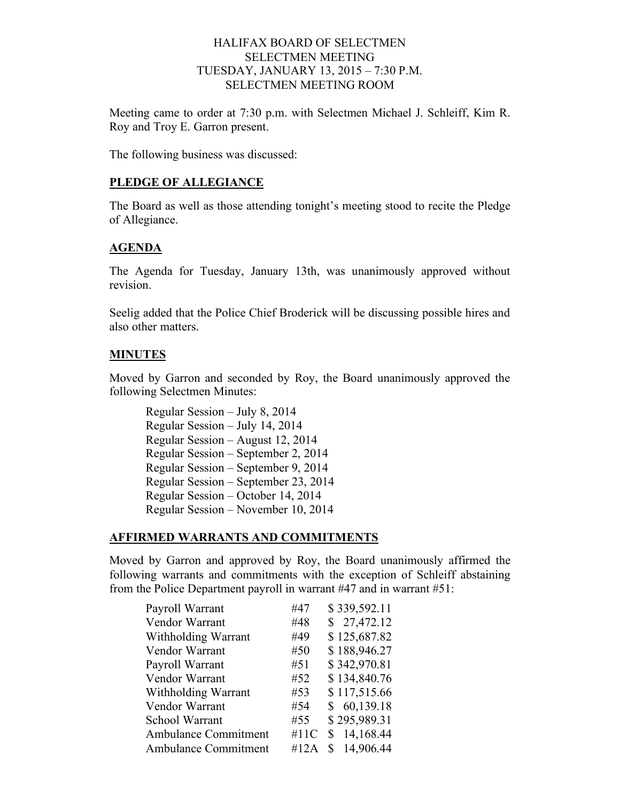## HALIFAX BOARD OF SELECTMEN SELECTMEN MEETING TUESDAY, JANUARY 13, 2015 – 7:30 P.M. SELECTMEN MEETING ROOM

Meeting came to order at 7:30 p.m. with Selectmen Michael J. Schleiff, Kim R. Roy and Troy E. Garron present.

The following business was discussed:

#### **PLEDGE OF ALLEGIANCE**

The Board as well as those attending tonight's meeting stood to recite the Pledge of Allegiance.

# **AGENDA**

The Agenda for Tuesday, January 13th, was unanimously approved without revision.

Seelig added that the Police Chief Broderick will be discussing possible hires and also other matters.

## **MINUTES**

Moved by Garron and seconded by Roy, the Board unanimously approved the following Selectmen Minutes:

Regular Session – July 8, 2014 Regular Session – July 14, 2014 Regular Session – August 12, 2014 Regular Session – September 2, 2014 Regular Session – September 9, 2014 Regular Session – September 23, 2014 Regular Session – October 14, 2014 Regular Session – November 10, 2014

#### **AFFIRMED WARRANTS AND COMMITMENTS**

Moved by Garron and approved by Roy, the Board unanimously affirmed the following warrants and commitments with the exception of Schleiff abstaining from the Police Department payroll in warrant #47 and in warrant #51:

|      | \$339,592.11    |
|------|-----------------|
| #48  | \$27,472.12     |
| #49  | \$125,687.82    |
| #50  | \$188,946.27    |
| #51  | \$342,970.81    |
| #52  | \$134,840.76    |
| #53  | \$117,515.66    |
| #54  | \$60,139.18     |
| #55  | \$295,989.31    |
| #11C | 14,168.44       |
| #12A | 14,906.44<br>S. |
|      | #47             |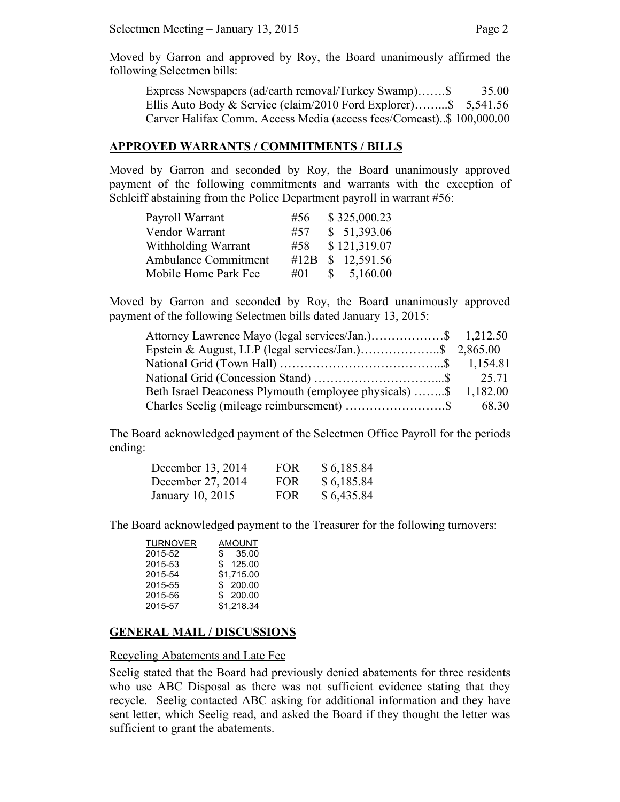Moved by Garron and approved by Roy, the Board unanimously affirmed the following Selectmen bills:

Express Newspapers (ad/earth removal/Turkey Swamp)…….\$ 35.00 Ellis Auto Body & Service (claim/2010 Ford Explorer)……...\$ 5,541.56 Carver Halifax Comm. Access Media (access fees/Comcast)..\$ 100,000.00

#### **APPROVED WARRANTS / COMMITMENTS / BILLS**

Moved by Garron and seconded by Roy, the Board unanimously approved payment of the following commitments and warrants with the exception of Schleiff abstaining from the Police Department payroll in warrant #56:

| Payroll Warrant             | #56  |              | \$325,000.23 |
|-----------------------------|------|--------------|--------------|
| Vendor Warrant              | #57  |              | \$51,393.06  |
| Withholding Warrant         | #58  |              | \$121,319.07 |
| <b>Ambulance Commitment</b> | #12B |              | \$12,591.56  |
| Mobile Home Park Fee        | #01  | $\mathbb{S}$ | 5,160.00     |

Moved by Garron and seconded by Roy, the Board unanimously approved payment of the following Selectmen bills dated January 13, 2015:

| Attorney Lawrence Mayo (legal services/Jan.)\$ 1,212.50         |  |
|-----------------------------------------------------------------|--|
|                                                                 |  |
|                                                                 |  |
|                                                                 |  |
| Beth Israel Deaconess Plymouth (employee physicals) \$ 1,182.00 |  |
|                                                                 |  |

The Board acknowledged payment of the Selectmen Office Payroll for the periods ending:

| December 13, 2014 | <b>FOR</b> | \$6,185.84 |
|-------------------|------------|------------|
| December 27, 2014 | <b>FOR</b> | \$6,185.84 |
| January 10, 2015  | <b>FOR</b> | \$6,435.84 |

The Board acknowledged payment to the Treasurer for the following turnovers:

| <b>TURNOVER</b> | AMOUNT     |
|-----------------|------------|
| 2015-52         | \$35.00    |
| 2015-53         | \$125.00   |
| 2015-54         | \$1.715.00 |
| 2015-55         | \$200.00   |
| 2015-56         | \$200.00   |
| 2015-57         | \$1,218.34 |

#### **GENERAL MAIL / DISCUSSIONS**

#### Recycling Abatements and Late Fee

Seelig stated that the Board had previously denied abatements for three residents who use ABC Disposal as there was not sufficient evidence stating that they recycle. Seelig contacted ABC asking for additional information and they have sent letter, which Seelig read, and asked the Board if they thought the letter was sufficient to grant the abatements.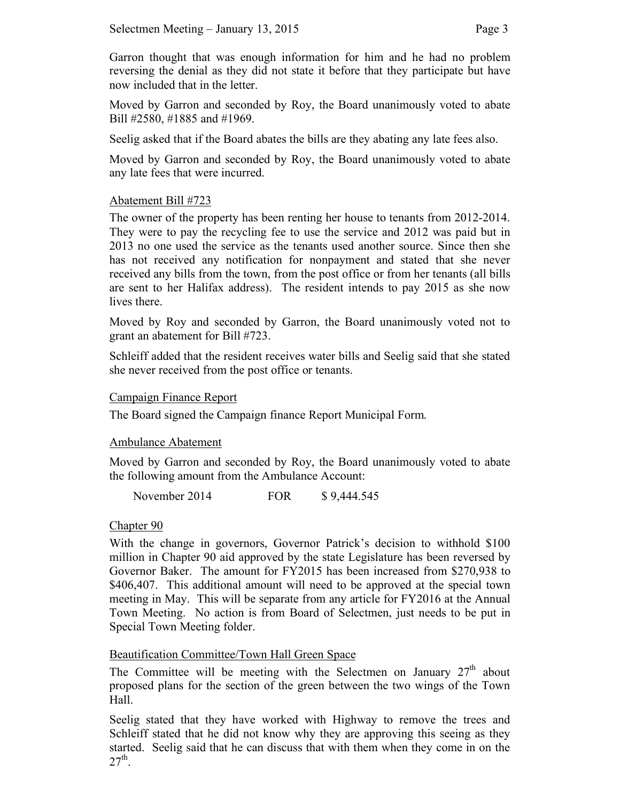Garron thought that was enough information for him and he had no problem reversing the denial as they did not state it before that they participate but have now included that in the letter.

Moved by Garron and seconded by Roy, the Board unanimously voted to abate Bill #2580, #1885 and #1969.

Seelig asked that if the Board abates the bills are they abating any late fees also.

Moved by Garron and seconded by Roy, the Board unanimously voted to abate any late fees that were incurred.

## Abatement Bill #723

The owner of the property has been renting her house to tenants from 2012-2014. They were to pay the recycling fee to use the service and 2012 was paid but in 2013 no one used the service as the tenants used another source. Since then she has not received any notification for nonpayment and stated that she never received any bills from the town, from the post office or from her tenants (all bills are sent to her Halifax address). The resident intends to pay 2015 as she now lives there.

Moved by Roy and seconded by Garron, the Board unanimously voted not to grant an abatement for Bill #723.

Schleiff added that the resident receives water bills and Seelig said that she stated she never received from the post office or tenants.

#### Campaign Finance Report

The Board signed the Campaign finance Report Municipal Form.

#### Ambulance Abatement

Moved by Garron and seconded by Roy, the Board unanimously voted to abate the following amount from the Ambulance Account:

November 2014 FOR \$9,444.545

# Chapter 90

With the change in governors, Governor Patrick's decision to withhold \$100 million in Chapter 90 aid approved by the state Legislature has been reversed by Governor Baker. The amount for FY2015 has been increased from \$270,938 to \$406,407. This additional amount will need to be approved at the special town meeting in May. This will be separate from any article for FY2016 at the Annual Town Meeting. No action is from Board of Selectmen, just needs to be put in Special Town Meeting folder.

# Beautification Committee/Town Hall Green Space

The Committee will be meeting with the Selectmen on January  $27<sup>th</sup>$  about proposed plans for the section of the green between the two wings of the Town Hall.

Seelig stated that they have worked with Highway to remove the trees and Schleiff stated that he did not know why they are approving this seeing as they started. Seelig said that he can discuss that with them when they come in on the  $27<sup>th</sup>$ .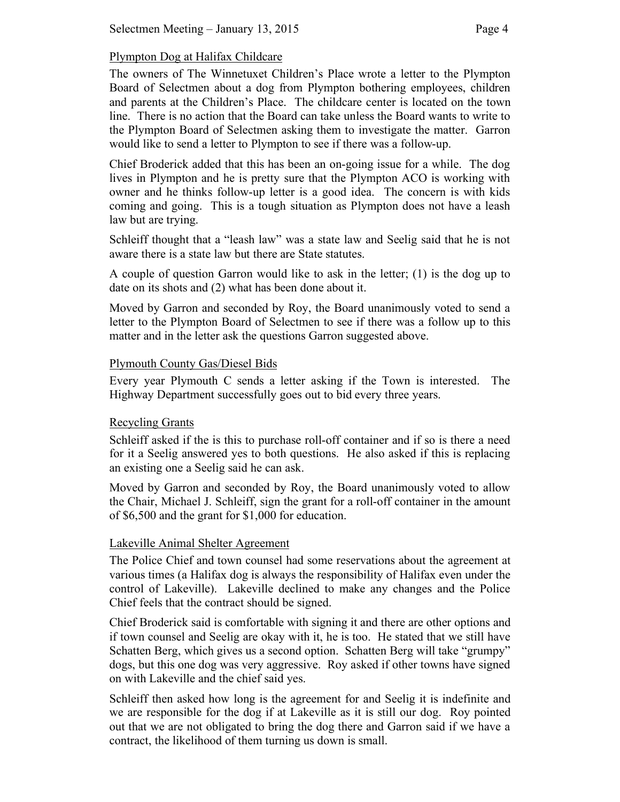# Plympton Dog at Halifax Childcare

The owners of The Winnetuxet Children's Place wrote a letter to the Plympton Board of Selectmen about a dog from Plympton bothering employees, children and parents at the Children's Place. The childcare center is located on the town line. There is no action that the Board can take unless the Board wants to write to the Plympton Board of Selectmen asking them to investigate the matter. Garron would like to send a letter to Plympton to see if there was a follow-up.

Chief Broderick added that this has been an on-going issue for a while. The dog lives in Plympton and he is pretty sure that the Plympton ACO is working with owner and he thinks follow-up letter is a good idea. The concern is with kids coming and going. This is a tough situation as Plympton does not have a leash law but are trying.

Schleiff thought that a "leash law" was a state law and Seelig said that he is not aware there is a state law but there are State statutes.

A couple of question Garron would like to ask in the letter; (1) is the dog up to date on its shots and (2) what has been done about it.

Moved by Garron and seconded by Roy, the Board unanimously voted to send a letter to the Plympton Board of Selectmen to see if there was a follow up to this matter and in the letter ask the questions Garron suggested above.

## Plymouth County Gas/Diesel Bids

Every year Plymouth C sends a letter asking if the Town is interested. The Highway Department successfully goes out to bid every three years.

# Recycling Grants

Schleiff asked if the is this to purchase roll-off container and if so is there a need for it a Seelig answered yes to both questions. He also asked if this is replacing an existing one a Seelig said he can ask.

Moved by Garron and seconded by Roy, the Board unanimously voted to allow the Chair, Michael J. Schleiff, sign the grant for a roll-off container in the amount of \$6,500 and the grant for \$1,000 for education.

# Lakeville Animal Shelter Agreement

The Police Chief and town counsel had some reservations about the agreement at various times (a Halifax dog is always the responsibility of Halifax even under the control of Lakeville). Lakeville declined to make any changes and the Police Chief feels that the contract should be signed.

Chief Broderick said is comfortable with signing it and there are other options and if town counsel and Seelig are okay with it, he is too. He stated that we still have Schatten Berg, which gives us a second option. Schatten Berg will take "grumpy" dogs, but this one dog was very aggressive. Roy asked if other towns have signed on with Lakeville and the chief said yes.

Schleiff then asked how long is the agreement for and Seelig it is indefinite and we are responsible for the dog if at Lakeville as it is still our dog. Roy pointed out that we are not obligated to bring the dog there and Garron said if we have a contract, the likelihood of them turning us down is small.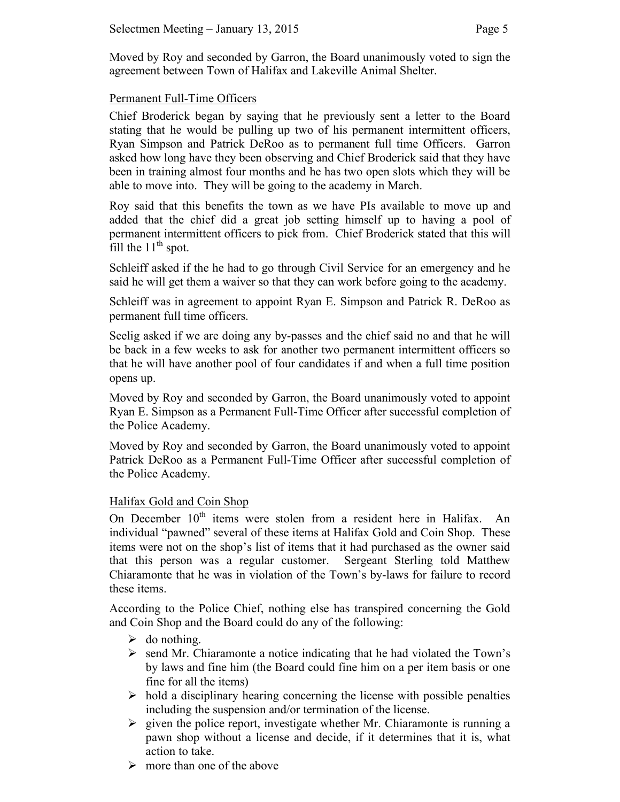Moved by Roy and seconded by Garron, the Board unanimously voted to sign the agreement between Town of Halifax and Lakeville Animal Shelter.

## Permanent Full-Time Officers

Chief Broderick began by saying that he previously sent a letter to the Board stating that he would be pulling up two of his permanent intermittent officers, Ryan Simpson and Patrick DeRoo as to permanent full time Officers. Garron asked how long have they been observing and Chief Broderick said that they have been in training almost four months and he has two open slots which they will be able to move into. They will be going to the academy in March.

Roy said that this benefits the town as we have PIs available to move up and added that the chief did a great job setting himself up to having a pool of permanent intermittent officers to pick from. Chief Broderick stated that this will fill the  $11<sup>th</sup>$  spot.

Schleiff asked if the he had to go through Civil Service for an emergency and he said he will get them a waiver so that they can work before going to the academy.

Schleiff was in agreement to appoint Ryan E. Simpson and Patrick R. DeRoo as permanent full time officers.

Seelig asked if we are doing any by-passes and the chief said no and that he will be back in a few weeks to ask for another two permanent intermittent officers so that he will have another pool of four candidates if and when a full time position opens up.

Moved by Roy and seconded by Garron, the Board unanimously voted to appoint Ryan E. Simpson as a Permanent Full-Time Officer after successful completion of the Police Academy.

Moved by Roy and seconded by Garron, the Board unanimously voted to appoint Patrick DeRoo as a Permanent Full-Time Officer after successful completion of the Police Academy.

#### Halifax Gold and Coin Shop

On December  $10<sup>th</sup>$  items were stolen from a resident here in Halifax. An individual "pawned" several of these items at Halifax Gold and Coin Shop. These items were not on the shop's list of items that it had purchased as the owner said that this person was a regular customer. Sergeant Sterling told Matthew Chiaramonte that he was in violation of the Town's by-laws for failure to record these items.

According to the Police Chief, nothing else has transpired concerning the Gold and Coin Shop and the Board could do any of the following:

- $\triangleright$  do nothing.
- $\triangleright$  send Mr. Chiaramonte a notice indicating that he had violated the Town's by laws and fine him (the Board could fine him on a per item basis or one fine for all the items)
- $\triangleright$  hold a disciplinary hearing concerning the license with possible penalties including the suspension and/or termination of the license.
- $\triangleright$  given the police report, investigate whether Mr. Chiaramonte is running a pawn shop without a license and decide, if it determines that it is, what action to take.
- $\triangleright$  more than one of the above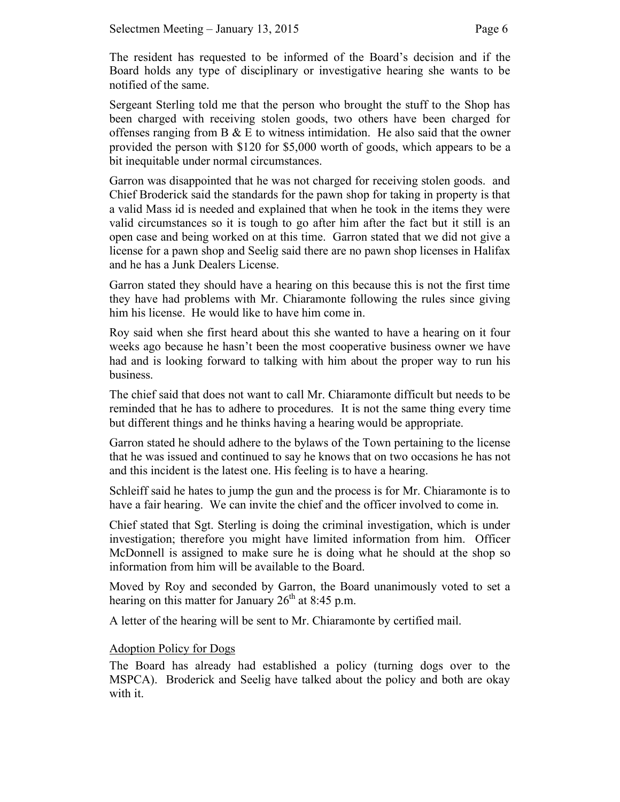The resident has requested to be informed of the Board's decision and if the Board holds any type of disciplinary or investigative hearing she wants to be notified of the same.

Sergeant Sterling told me that the person who brought the stuff to the Shop has been charged with receiving stolen goods, two others have been charged for offenses ranging from  $B \& E$  to witness intimidation. He also said that the owner provided the person with \$120 for \$5,000 worth of goods, which appears to be a bit inequitable under normal circumstances.

Garron was disappointed that he was not charged for receiving stolen goods. and Chief Broderick said the standards for the pawn shop for taking in property is that a valid Mass id is needed and explained that when he took in the items they were valid circumstances so it is tough to go after him after the fact but it still is an open case and being worked on at this time. Garron stated that we did not give a license for a pawn shop and Seelig said there are no pawn shop licenses in Halifax and he has a Junk Dealers License.

Garron stated they should have a hearing on this because this is not the first time they have had problems with Mr. Chiaramonte following the rules since giving him his license. He would like to have him come in.

Roy said when she first heard about this she wanted to have a hearing on it four weeks ago because he hasn't been the most cooperative business owner we have had and is looking forward to talking with him about the proper way to run his business.

The chief said that does not want to call Mr. Chiaramonte difficult but needs to be reminded that he has to adhere to procedures. It is not the same thing every time but different things and he thinks having a hearing would be appropriate.

Garron stated he should adhere to the bylaws of the Town pertaining to the license that he was issued and continued to say he knows that on two occasions he has not and this incident is the latest one. His feeling is to have a hearing.

Schleiff said he hates to jump the gun and the process is for Mr. Chiaramonte is to have a fair hearing. We can invite the chief and the officer involved to come in.

Chief stated that Sgt. Sterling is doing the criminal investigation, which is under investigation; therefore you might have limited information from him. Officer McDonnell is assigned to make sure he is doing what he should at the shop so information from him will be available to the Board.

Moved by Roy and seconded by Garron, the Board unanimously voted to set a hearing on this matter for January  $26<sup>th</sup>$  at 8:45 p.m.

A letter of the hearing will be sent to Mr. Chiaramonte by certified mail.

# Adoption Policy for Dogs

The Board has already had established a policy (turning dogs over to the MSPCA). Broderick and Seelig have talked about the policy and both are okay with it.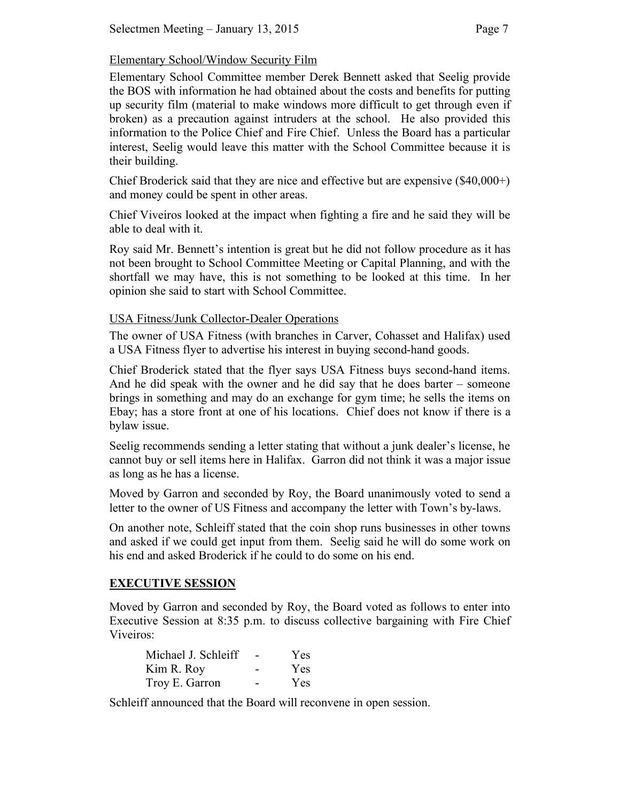## Elementary School/Window Security Film

Elementary School Committee member Derek Bennett asked that Seelig provide the BOS with information he had obtained about the costs and benefits for putting up security film (material to make windows more difficult to get through even if broken) as a precaution against intruders at the school. He also provided this information to the Police Chief and Fire Chief. Unless the Board has a particular interest, Seelig would leave this matter with the School Committee because it is their building.

Chief Broderick said that they are nice and effective but are expensive (\$40,000+) and money could be spent in other areas.

Chief Viveiros looked at the impact when fighting a fire and he said they will be able to deal with it.

Roy said Mr. Bennett's intention is great but he did not follow procedure as it has not been brought to School Committee Meeting or Capital Planning, and with the shortfall we may have, this is not something to be looked at this time. In her opinion she said to start with School Committee.

## USA Fitness/Junk Collector-Dealer Operations

The owner of USA Fitness (with branches in Carver, Cohasset and Halifax) used a USA Fitness flyer to advertise his interest in buying second-hand goods.

Chief Broderick stated that the flyer says USA Fitness buys second-hand items. And he did speak with the owner and he did say that he does barter – someone brings in something and may do an exchange for gym time; he sells the items on Ebay; has a store front at one of his locations. Chief does not know if there is a bylaw issue.

Seelig recommends sending a letter stating that without a junk dealer's license, he cannot buy or sell items here in Halifax. Garron did not think it was a major issue as long as he has a license.

Moved by Garron and seconded by Roy, the Board unanimously voted to send a letter to the owner of US Fitness and accompany the letter with Town's by-laws.

On another note, Schleiff stated that the coin shop runs businesses in other towns and asked if we could get input from them. Seelig said he will do some work on his end and asked Broderick if he could to do some on his end.

# **EXECUTIVE SESSION**

Moved by Garron and seconded by Roy, the Board voted as follows to enter into Executive Session at 8:35 p.m. to discuss collective bargaining with Fire Chief Viveiros:

| Michael J. Schleiff | Yes |
|---------------------|-----|
| Kim R. Roy          | Yes |
| Troy E. Garron      | Yes |

Schleiff announced that the Board will reconvene in open session.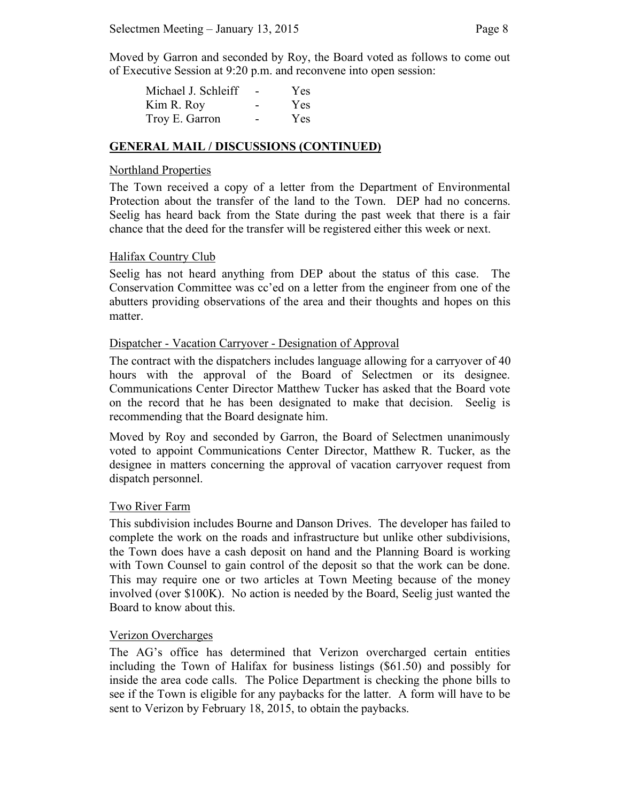Moved by Garron and seconded by Roy, the Board voted as follows to come out of Executive Session at 9:20 p.m. and reconvene into open session:

| Michael J. Schleiff | Yes |
|---------------------|-----|
| Kim R. Roy          | Yes |
| Troy E. Garron      | Yes |

#### **GENERAL MAIL / DISCUSSIONS (CONTINUED)**

#### Northland Properties

The Town received a copy of a letter from the Department of Environmental Protection about the transfer of the land to the Town. DEP had no concerns. Seelig has heard back from the State during the past week that there is a fair chance that the deed for the transfer will be registered either this week or next.

#### Halifax Country Club

Seelig has not heard anything from DEP about the status of this case. The Conservation Committee was cc'ed on a letter from the engineer from one of the abutters providing observations of the area and their thoughts and hopes on this matter.

#### Dispatcher - Vacation Carryover - Designation of Approval

The contract with the dispatchers includes language allowing for a carryover of 40 hours with the approval of the Board of Selectmen or its designee. Communications Center Director Matthew Tucker has asked that the Board vote on the record that he has been designated to make that decision. Seelig is recommending that the Board designate him.

Moved by Roy and seconded by Garron, the Board of Selectmen unanimously voted to appoint Communications Center Director, Matthew R. Tucker, as the designee in matters concerning the approval of vacation carryover request from dispatch personnel.

#### Two River Farm

This subdivision includes Bourne and Danson Drives. The developer has failed to complete the work on the roads and infrastructure but unlike other subdivisions, the Town does have a cash deposit on hand and the Planning Board is working with Town Counsel to gain control of the deposit so that the work can be done. This may require one or two articles at Town Meeting because of the money involved (over \$100K). No action is needed by the Board, Seelig just wanted the Board to know about this.

#### Verizon Overcharges

The AG's office has determined that Verizon overcharged certain entities including the Town of Halifax for business listings (\$61.50) and possibly for inside the area code calls. The Police Department is checking the phone bills to see if the Town is eligible for any paybacks for the latter. A form will have to be sent to Verizon by February 18, 2015, to obtain the paybacks.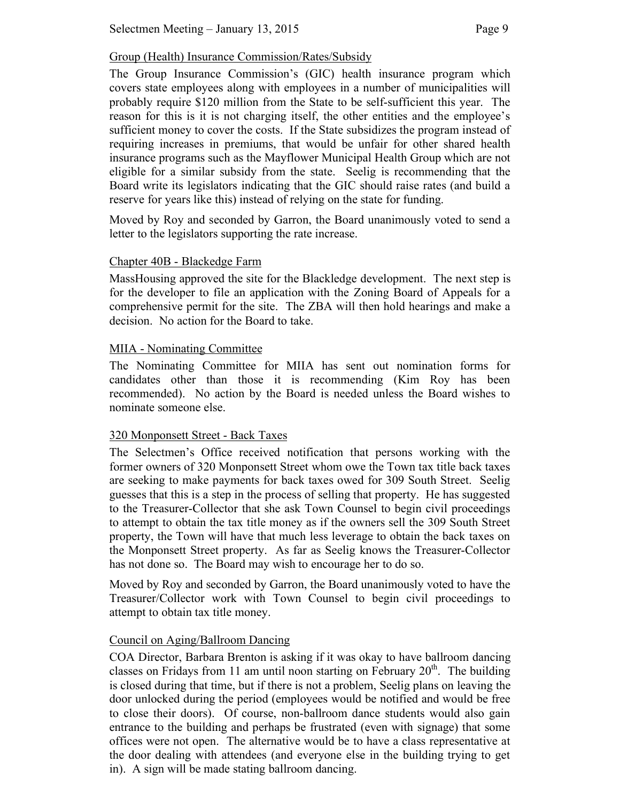# Group (Health) Insurance Commission/Rates/Subsidy

The Group Insurance Commission's (GIC) health insurance program which covers state employees along with employees in a number of municipalities will probably require \$120 million from the State to be self-sufficient this year. The reason for this is it is not charging itself, the other entities and the employee's sufficient money to cover the costs. If the State subsidizes the program instead of requiring increases in premiums, that would be unfair for other shared health insurance programs such as the Mayflower Municipal Health Group which are not eligible for a similar subsidy from the state. Seelig is recommending that the Board write its legislators indicating that the GIC should raise rates (and build a reserve for years like this) instead of relying on the state for funding.

Moved by Roy and seconded by Garron, the Board unanimously voted to send a letter to the legislators supporting the rate increase.

# Chapter 40B - Blackedge Farm

MassHousing approved the site for the Blackledge development. The next step is for the developer to file an application with the Zoning Board of Appeals for a comprehensive permit for the site. The ZBA will then hold hearings and make a decision. No action for the Board to take.

## MIIA - Nominating Committee

The Nominating Committee for MIIA has sent out nomination forms for candidates other than those it is recommending (Kim Roy has been recommended). No action by the Board is needed unless the Board wishes to nominate someone else.

# 320 Monponsett Street - Back Taxes

The Selectmen's Office received notification that persons working with the former owners of 320 Monponsett Street whom owe the Town tax title back taxes are seeking to make payments for back taxes owed for 309 South Street. Seelig guesses that this is a step in the process of selling that property. He has suggested to the Treasurer-Collector that she ask Town Counsel to begin civil proceedings to attempt to obtain the tax title money as if the owners sell the 309 South Street property, the Town will have that much less leverage to obtain the back taxes on the Monponsett Street property. As far as Seelig knows the Treasurer-Collector has not done so. The Board may wish to encourage her to do so.

Moved by Roy and seconded by Garron, the Board unanimously voted to have the Treasurer/Collector work with Town Counsel to begin civil proceedings to attempt to obtain tax title money.

# Council on Aging/Ballroom Dancing

COA Director, Barbara Brenton is asking if it was okay to have ballroom dancing classes on Fridays from 11 am until noon starting on February  $20<sup>th</sup>$ . The building is closed during that time, but if there is not a problem, Seelig plans on leaving the door unlocked during the period (employees would be notified and would be free to close their doors). Of course, non-ballroom dance students would also gain entrance to the building and perhaps be frustrated (even with signage) that some offices were not open. The alternative would be to have a class representative at the door dealing with attendees (and everyone else in the building trying to get in). A sign will be made stating ballroom dancing.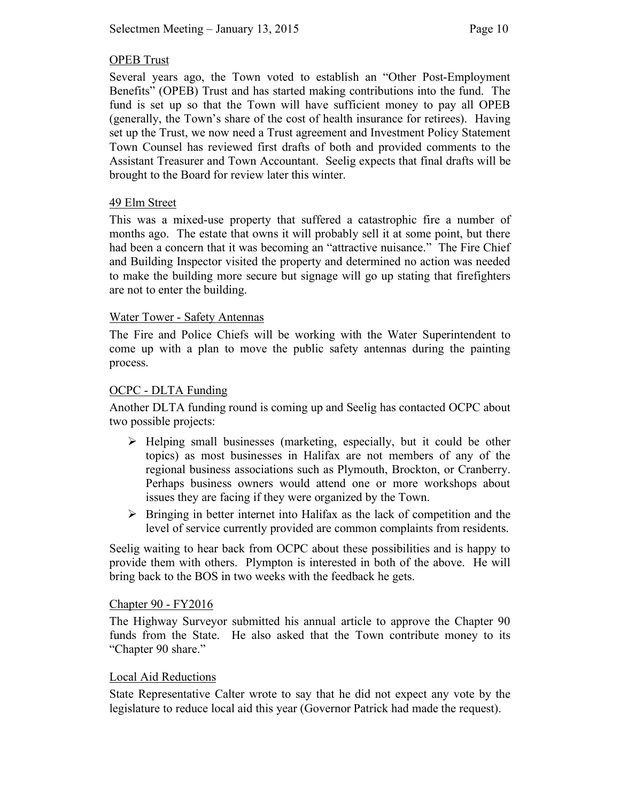## OPEB Trust

Several years ago, the Town voted to establish an "Other Post-Employment Benefits" (OPEB) Trust and has started making contributions into the fund. The fund is set up so that the Town will have sufficient money to pay all OPEB (generally, the Town's share of the cost of health insurance for retirees). Having set up the Trust, we now need a Trust agreement and Investment Policy Statement Town Counsel has reviewed first drafts of both and provided comments to the Assistant Treasurer and Town Accountant. Seelig expects that final drafts will be brought to the Board for review later this winter.

## 49 Elm Street

This was a mixed-use property that suffered a catastrophic fire a number of months ago. The estate that owns it will probably sell it at some point, but there had been a concern that it was becoming an "attractive nuisance." The Fire Chief and Building Inspector visited the property and determined no action was needed to make the building more secure but signage will go up stating that firefighters are not to enter the building.

## Water Tower - Safety Antennas

The Fire and Police Chiefs will be working with the Water Superintendent to come up with a plan to move the public safety antennas during the painting process.

## OCPC - DLTA Funding

Another DLTA funding round is coming up and Seelig has contacted OCPC about two possible projects:

- $\triangleright$  Helping small businesses (marketing, especially, but it could be other topics) as most businesses in Halifax are not members of any of the regional business associations such as Plymouth, Brockton, or Cranberry. Perhaps business owners would attend one or more workshops about issues they are facing if they were organized by the Town.
- $\triangleright$  Bringing in better internet into Halifax as the lack of competition and the level of service currently provided are common complaints from residents.

Seelig waiting to hear back from OCPC about these possibilities and is happy to provide them with others. Plympton is interested in both of the above. He will bring back to the BOS in two weeks with the feedback he gets.

#### Chapter 90 - FY2016

The Highway Surveyor submitted his annual article to approve the Chapter 90 funds from the State. He also asked that the Town contribute money to its "Chapter 90 share."

#### Local Aid Reductions

State Representative Calter wrote to say that he did not expect any vote by the legislature to reduce local aid this year (Governor Patrick had made the request).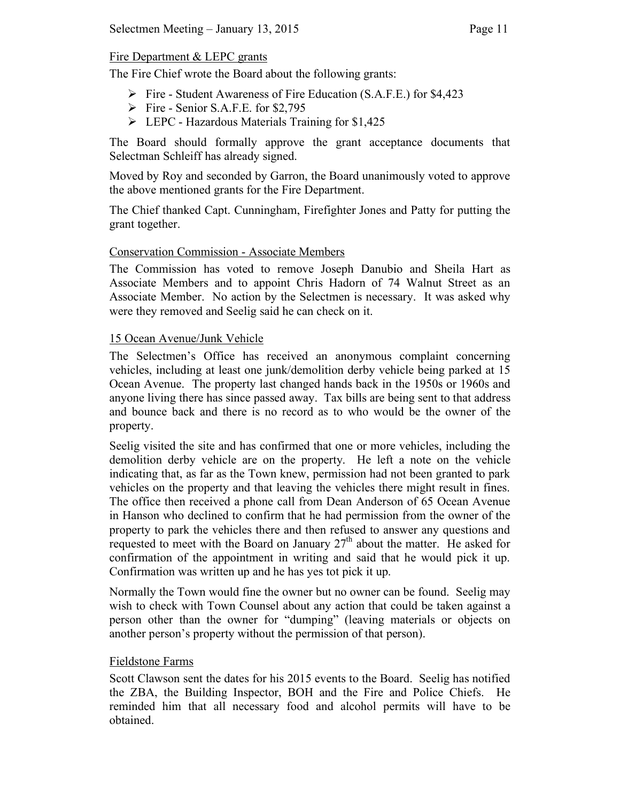# Fire Department & LEPC grants

The Fire Chief wrote the Board about the following grants:

- $\triangleright$  Fire Student Awareness of Fire Education (S.A.F.E.) for \$4,423
- $\triangleright$  Fire Senior S.A.F.E. for \$2,795
- LEPC Hazardous Materials Training for \$1,425

The Board should formally approve the grant acceptance documents that Selectman Schleiff has already signed.

Moved by Roy and seconded by Garron, the Board unanimously voted to approve the above mentioned grants for the Fire Department.

The Chief thanked Capt. Cunningham, Firefighter Jones and Patty for putting the grant together.

# Conservation Commission - Associate Members

The Commission has voted to remove Joseph Danubio and Sheila Hart as Associate Members and to appoint Chris Hadorn of 74 Walnut Street as an Associate Member. No action by the Selectmen is necessary. It was asked why were they removed and Seelig said he can check on it.

# 15 Ocean Avenue/Junk Vehicle

The Selectmen's Office has received an anonymous complaint concerning vehicles, including at least one junk/demolition derby vehicle being parked at 15 Ocean Avenue. The property last changed hands back in the 1950s or 1960s and anyone living there has since passed away. Tax bills are being sent to that address and bounce back and there is no record as to who would be the owner of the property.

Seelig visited the site and has confirmed that one or more vehicles, including the demolition derby vehicle are on the property. He left a note on the vehicle indicating that, as far as the Town knew, permission had not been granted to park vehicles on the property and that leaving the vehicles there might result in fines. The office then received a phone call from Dean Anderson of 65 Ocean Avenue in Hanson who declined to confirm that he had permission from the owner of the property to park the vehicles there and then refused to answer any questions and requested to meet with the Board on January  $27<sup>th</sup>$  about the matter. He asked for confirmation of the appointment in writing and said that he would pick it up. Confirmation was written up and he has yes tot pick it up.

Normally the Town would fine the owner but no owner can be found. Seelig may wish to check with Town Counsel about any action that could be taken against a person other than the owner for "dumping" (leaving materials or objects on another person's property without the permission of that person).

# Fieldstone Farms

Scott Clawson sent the dates for his 2015 events to the Board. Seelig has notified the ZBA, the Building Inspector, BOH and the Fire and Police Chiefs. He reminded him that all necessary food and alcohol permits will have to be obtained.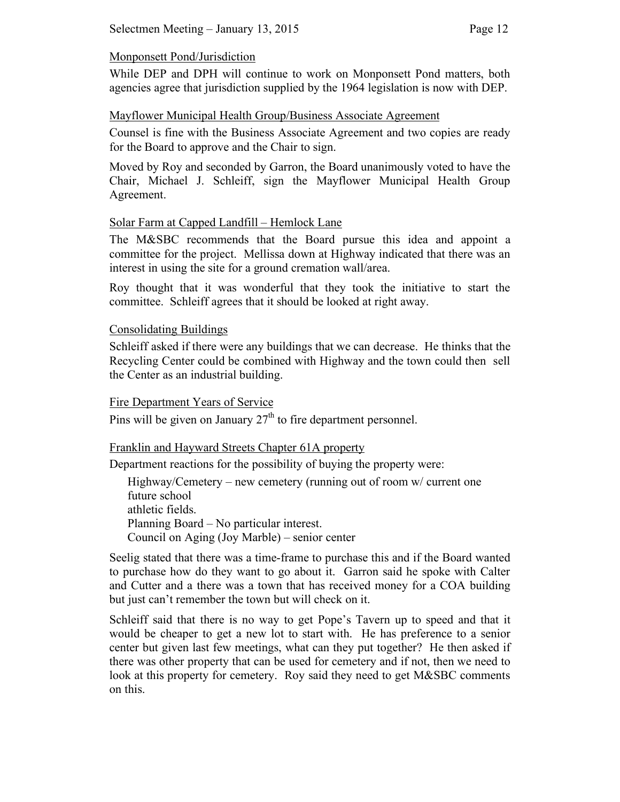#### Monponsett Pond/Jurisdiction

While DEP and DPH will continue to work on Monponsett Pond matters, both agencies agree that jurisdiction supplied by the 1964 legislation is now with DEP.

## Mayflower Municipal Health Group/Business Associate Agreement

Counsel is fine with the Business Associate Agreement and two copies are ready for the Board to approve and the Chair to sign.

Moved by Roy and seconded by Garron, the Board unanimously voted to have the Chair, Michael J. Schleiff, sign the Mayflower Municipal Health Group Agreement.

## Solar Farm at Capped Landfill – Hemlock Lane

The M&SBC recommends that the Board pursue this idea and appoint a committee for the project. Mellissa down at Highway indicated that there was an interest in using the site for a ground cremation wall/area.

Roy thought that it was wonderful that they took the initiative to start the committee. Schleiff agrees that it should be looked at right away.

## Consolidating Buildings

Schleiff asked if there were any buildings that we can decrease. He thinks that the Recycling Center could be combined with Highway and the town could then sell the Center as an industrial building.

#### Fire Department Years of Service

Pins will be given on January  $27<sup>th</sup>$  to fire department personnel.

## Franklin and Hayward Streets Chapter 61A property

Department reactions for the possibility of buying the property were:

Highway/Cemetery – new cemetery (running out of room w/ current one future school athletic fields. Planning Board – No particular interest. Council on Aging (Joy Marble) – senior center

Seelig stated that there was a time-frame to purchase this and if the Board wanted to purchase how do they want to go about it. Garron said he spoke with Calter and Cutter and a there was a town that has received money for a COA building but just can't remember the town but will check on it.

Schleiff said that there is no way to get Pope's Tavern up to speed and that it would be cheaper to get a new lot to start with. He has preference to a senior center but given last few meetings, what can they put together? He then asked if there was other property that can be used for cemetery and if not, then we need to look at this property for cemetery. Roy said they need to get M&SBC comments on this.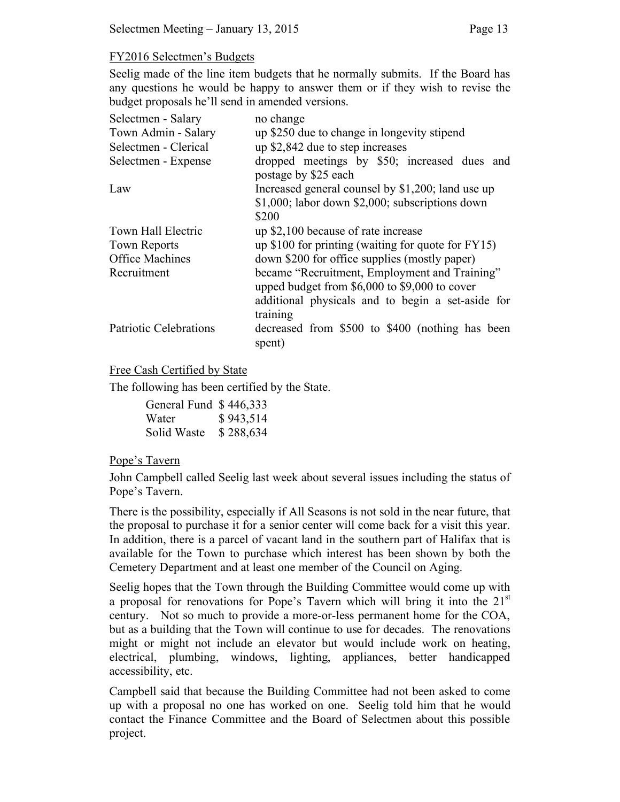## FY2016 Selectmen's Budgets

Seelig made of the line item budgets that he normally submits. If the Board has any questions he would be happy to answer them or if they wish to revise the budget proposals he'll send in amended versions.

| Selectmen - Salary            | no change                                                            |
|-------------------------------|----------------------------------------------------------------------|
| Town Admin - Salary           | up \$250 due to change in longevity stipend                          |
| Selectmen - Clerical          | up \$2,842 due to step increases                                     |
| Selectmen - Expense           | dropped meetings by \$50; increased dues and<br>postage by \$25 each |
| Law                           | Increased general counsel by \$1,200; land use up                    |
|                               | \$1,000; labor down \$2,000; subscriptions down                      |
|                               | \$200                                                                |
| Town Hall Electric            | up \$2,100 because of rate increase                                  |
| <b>Town Reports</b>           | up \$100 for printing (waiting for quote for $FY15$ )                |
| <b>Office Machines</b>        | down \$200 for office supplies (mostly paper)                        |
| Recruitment                   | became "Recruitment, Employment and Training"                        |
|                               | upped budget from \$6,000 to \$9,000 to cover                        |
|                               | additional physicals and to begin a set-aside for                    |
|                               | training                                                             |
| <b>Patriotic Celebrations</b> | decreased from \$500 to \$400 (nothing has been<br>spent)            |

#### Free Cash Certified by State

The following has been certified by the State.

| General Fund \$446,333 |           |
|------------------------|-----------|
| Water                  | \$943,514 |
| Solid Waste            | \$288,634 |

#### Pope's Tavern

John Campbell called Seelig last week about several issues including the status of Pope's Tavern.

There is the possibility, especially if All Seasons is not sold in the near future, that the proposal to purchase it for a senior center will come back for a visit this year. In addition, there is a parcel of vacant land in the southern part of Halifax that is available for the Town to purchase which interest has been shown by both the Cemetery Department and at least one member of the Council on Aging.

Seelig hopes that the Town through the Building Committee would come up with a proposal for renovations for Pope's Tavern which will bring it into the  $21<sup>st</sup>$ century. Not so much to provide a more-or-less permanent home for the COA, but as a building that the Town will continue to use for decades. The renovations might or might not include an elevator but would include work on heating, electrical, plumbing, windows, lighting, appliances, better handicapped accessibility, etc.

Campbell said that because the Building Committee had not been asked to come up with a proposal no one has worked on one. Seelig told him that he would contact the Finance Committee and the Board of Selectmen about this possible project.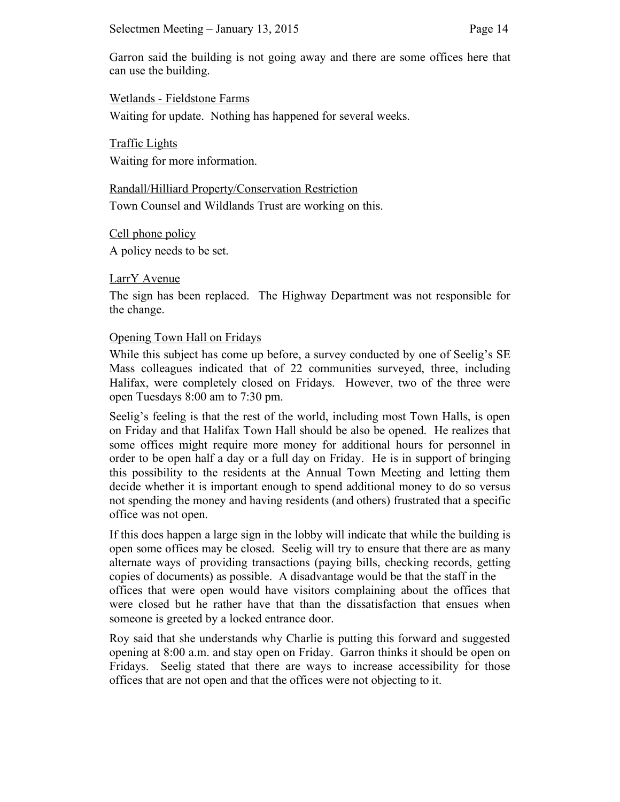Garron said the building is not going away and there are some offices here that can use the building.

Wetlands - Fieldstone Farms Waiting for update. Nothing has happened for several weeks.

Traffic Lights Waiting for more information.

Randall/Hilliard Property/Conservation Restriction Town Counsel and Wildlands Trust are working on this.

Cell phone policy A policy needs to be set.

LarrY Avenue

The sign has been replaced. The Highway Department was not responsible for the change.

## Opening Town Hall on Fridays

While this subject has come up before, a survey conducted by one of Seelig's SE Mass colleagues indicated that of 22 communities surveyed, three, including Halifax, were completely closed on Fridays. However, two of the three were open Tuesdays 8:00 am to 7:30 pm.

Seelig's feeling is that the rest of the world, including most Town Halls, is open on Friday and that Halifax Town Hall should be also be opened. He realizes that some offices might require more money for additional hours for personnel in order to be open half a day or a full day on Friday. He is in support of bringing this possibility to the residents at the Annual Town Meeting and letting them decide whether it is important enough to spend additional money to do so versus not spending the money and having residents (and others) frustrated that a specific office was not open.

If this does happen a large sign in the lobby will indicate that while the building is open some offices may be closed. Seelig will try to ensure that there are as many alternate ways of providing transactions (paying bills, checking records, getting copies of documents) as possible. A disadvantage would be that the staff in the offices that were open would have visitors complaining about the offices that were closed but he rather have that than the dissatisfaction that ensues when someone is greeted by a locked entrance door.

Roy said that she understands why Charlie is putting this forward and suggested opening at 8:00 a.m. and stay open on Friday. Garron thinks it should be open on Fridays. Seelig stated that there are ways to increase accessibility for those offices that are not open and that the offices were not objecting to it.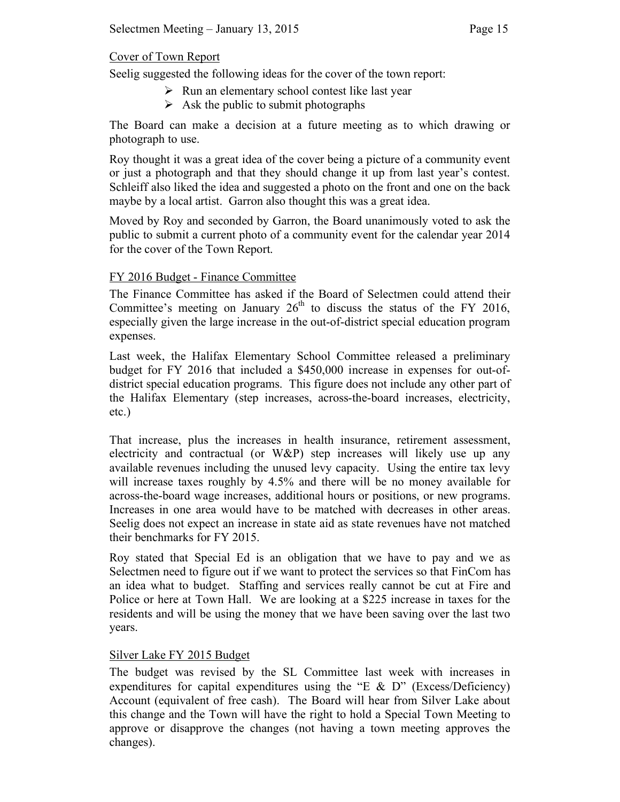## Cover of Town Report

Seelig suggested the following ideas for the cover of the town report:

- $\triangleright$  Run an elementary school contest like last year
- $\triangleright$  Ask the public to submit photographs

The Board can make a decision at a future meeting as to which drawing or photograph to use.

Roy thought it was a great idea of the cover being a picture of a community event or just a photograph and that they should change it up from last year's contest. Schleiff also liked the idea and suggested a photo on the front and one on the back maybe by a local artist. Garron also thought this was a great idea.

Moved by Roy and seconded by Garron, the Board unanimously voted to ask the public to submit a current photo of a community event for the calendar year 2014 for the cover of the Town Report.

## FY 2016 Budget - Finance Committee

The Finance Committee has asked if the Board of Selectmen could attend their Committee's meeting on January  $26<sup>th</sup>$  to discuss the status of the FY 2016, especially given the large increase in the out-of-district special education program expenses.

Last week, the Halifax Elementary School Committee released a preliminary budget for FY 2016 that included a \$450,000 increase in expenses for out-ofdistrict special education programs. This figure does not include any other part of the Halifax Elementary (step increases, across-the-board increases, electricity, etc.)

That increase, plus the increases in health insurance, retirement assessment, electricity and contractual (or W&P) step increases will likely use up any available revenues including the unused levy capacity. Using the entire tax levy will increase taxes roughly by 4.5% and there will be no money available for across-the-board wage increases, additional hours or positions, or new programs. Increases in one area would have to be matched with decreases in other areas. Seelig does not expect an increase in state aid as state revenues have not matched their benchmarks for FY 2015.

Roy stated that Special Ed is an obligation that we have to pay and we as Selectmen need to figure out if we want to protect the services so that FinCom has an idea what to budget. Staffing and services really cannot be cut at Fire and Police or here at Town Hall. We are looking at a \$225 increase in taxes for the residents and will be using the money that we have been saving over the last two years.

# Silver Lake FY 2015 Budget

The budget was revised by the SL Committee last week with increases in expenditures for capital expenditures using the "E  $\&$  D" (Excess/Deficiency) Account (equivalent of free cash). The Board will hear from Silver Lake about this change and the Town will have the right to hold a Special Town Meeting to approve or disapprove the changes (not having a town meeting approves the changes).